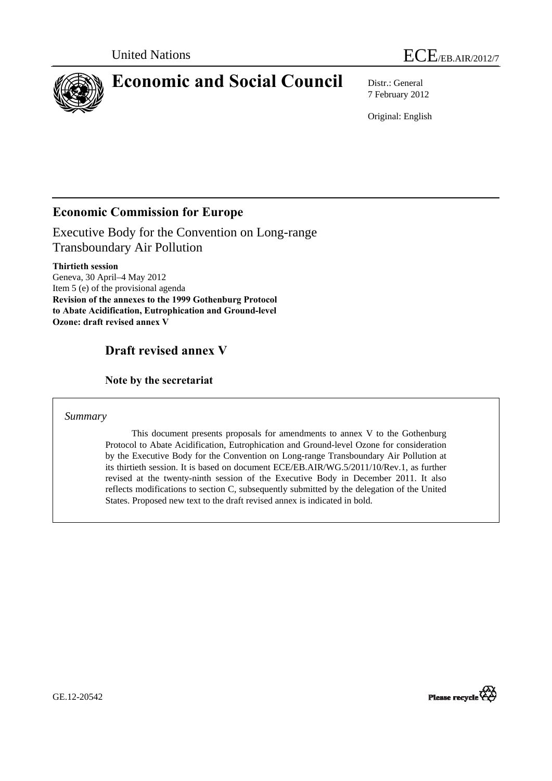

# **Economic and Social Council** Distr.: General

7 February 2012

Original: English

# **Economic Commission for Europe**

Executive Body for the Convention on Long-range Transboundary Air Pollution

**Thirtieth session**  Geneva, 30 April–4 May 2012 Item 5 (e) of the provisional agenda **Revision of the annexes to the 1999 Gothenburg Protocol to Abate Acidification, Eutrophication and Ground-level Ozone: draft revised annex V** 

# **Draft revised annex V**

 **Note by the secretariat** 

*Summary* 

 This document presents proposals for amendments to annex V to the Gothenburg Protocol to Abate Acidification, Eutrophication and Ground-level Ozone for consideration by the Executive Body for the Convention on Long-range Transboundary Air Pollution at its thirtieth session. It is based on document ECE/EB.AIR/WG.5/2011/10/Rev.1, as further revised at the twenty-ninth session of the Executive Body in December 2011. It also reflects modifications to section C, subsequently submitted by the delegation of the United States. Proposed new text to the draft revised annex is indicated in bold.



GE.12-20542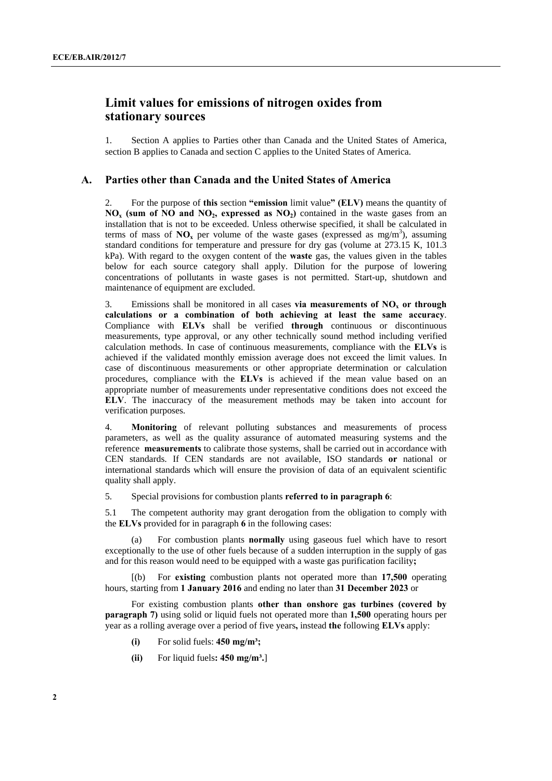# **Limit values for emissions of nitrogen oxides from stationary sources**

1. Section A applies to Parties other than Canada and the United States of America, section B applies to Canada and section C applies to the United States of America.

## **A. Parties other than Canada and the United States of America**

2. For the purpose of **this** section **"emission** limit value**" (ELV)** means the quantity of **NO<sub>x</sub>** (sum of NO and NO<sub>2</sub>, expressed as  $NO_2$ ) contained in the waste gases from an installation that is not to be exceeded. Unless otherwise specified, it shall be calculated in terms of mass of  $\mathbf{NO}_x$  per volume of the waste gases (expressed as mg/m<sup>3</sup>), assuming standard conditions for temperature and pressure for dry gas (volume at 273.15 K, 101.3 kPa). With regard to the oxygen content of the **waste** gas, the values given in the tables below for each source category shall apply. Dilution for the purpose of lowering concentrations of pollutants in waste gases is not permitted. Start-up, shutdown and maintenance of equipment are excluded.

3. Emissions shall be monitored in all cases **via measurements of**  $NO<sub>x</sub>$  **or through calculations or a combination of both achieving at least the same accuracy**. Compliance with **ELVs** shall be verified **through** continuous or discontinuous measurements, type approval, or any other technically sound method including verified calculation methods. In case of continuous measurements, compliance with the **ELVs** is achieved if the validated monthly emission average does not exceed the limit values. In case of discontinuous measurements or other appropriate determination or calculation procedures, compliance with the **ELVs** is achieved if the mean value based on an appropriate number of measurements under representative conditions does not exceed the **ELV**. The inaccuracy of the measurement methods may be taken into account for verification purposes.

4. **Monitoring** of relevant polluting substances and measurements of process parameters, as well as the quality assurance of automated measuring systems and the reference **measurements** to calibrate those systems, shall be carried out in accordance with CEN standards. If CEN standards are not available, ISO standards **or** national or international standards which will ensure the provision of data of an equivalent scientific quality shall apply.

5. Special provisions for combustion plants **referred to in paragraph 6**:

5.1 The competent authority may grant derogation from the obligation to comply with the **ELVs** provided for in paragraph **6** in the following cases:

For combustion plants **normally** using gaseous fuel which have to resort exceptionally to the use of other fuels because of a sudden interruption in the supply of gas and for this reason would need to be equipped with a waste gas purification facility**;** 

 [(b) For **existing** combustion plants not operated more than **17,500** operating hours, starting from **1 January 2016** and ending no later than **31 December 2023** or

 For existing combustion plants **other than onshore gas turbines (covered by paragraph 7)** using solid or liquid fuels not operated more than **1,500** operating hours per year as a rolling average over a period of five years**,** instead **the** following **ELVs** apply:

- **(i)** For solid fuels: **450 mg/m³;**
- (ii) For liquid fuels:  $450 \text{ mg/m}^3$ .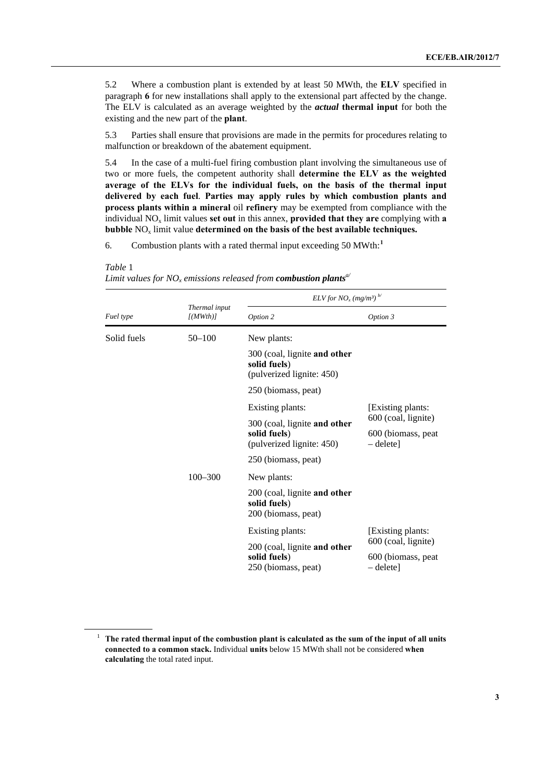<span id="page-2-0"></span>5.2 Where a combustion plant is extended by at least 50 MWth, the **ELV** specified in paragraph **6** for new installations shall apply to the extensional part affected by the change. The ELV is calculated as an average weighted by the *actual* **thermal input** for both the existing and the new part of the **plant**.

5.3 Parties shall ensure that provisions are made in the permits for procedures relating to malfunction or breakdown of the abatement equipment.

5.4 In the case of a multi-fuel firing combustion plant involving the simultaneous use of two or more fuels, the competent authority shall **determine the ELV as the weighted average of the ELVs for the individual fuels, on the basis of the thermal input delivered by each fuel**. **Parties may apply rules by which combustion plants and process plants within a mineral** oil **refinery** may be exempted from compliance with the individual NO<sub>x</sub> limit values **set out** in this annex, **provided that they are** complying with **a bubble NO<sub>x</sub> limit value determined on the basis of the best available techniques.** 

6. Combustion plants with a rated thermal input exceeding 50 MWth:**[1](#page-2-0)**

|                                                                           | ELV for $NO_x$ (mg/m <sup>3)</sup>     |
|---------------------------------------------------------------------------|----------------------------------------|
| Thermal input<br>Fuel type<br>J(MWth)<br>Option 2                         | Option 3                               |
| Solid fuels<br>$50 - 100$<br>New plants:                                  |                                        |
| 300 (coal, lignite and other<br>solid fuels)<br>(pulverized lignite: 450) |                                        |
| 250 (biomass, peat)                                                       |                                        |
| Existing plants:                                                          | [Existing plants:                      |
| 300 (coal, lignite and other                                              | 600 (coal, lignite)                    |
| solid fuels)<br>(pulverized lignite: 450)                                 | 600 (biomass, peat<br>$-\text{delete}$ |
| 250 (biomass, peat)                                                       |                                        |
| $100 - 300$<br>New plants:                                                |                                        |
| 200 (coal, lignite and other<br>solid fuels)<br>200 (biomass, peat)       |                                        |
| Existing plants:                                                          | [Existing plants:                      |
| 200 (coal, lignite and other                                              | 600 (coal, lignite)                    |
| solid fuels)<br>250 (biomass, peat)                                       | 600 (biomass, peat<br>$-\text{delete}$ |

*Table* 1 *Limit values for NO<sub>x</sub> emissions released from <i>combustion plants<sup>a/</sup>* 

<sup>&</sup>lt;sup>1</sup> The rated thermal input of the combustion plant is calculated as the sum of the input of all units **connected to a common stack.** Individual **units** below 15 MWth shall not be considered **when calculating** the total rated input.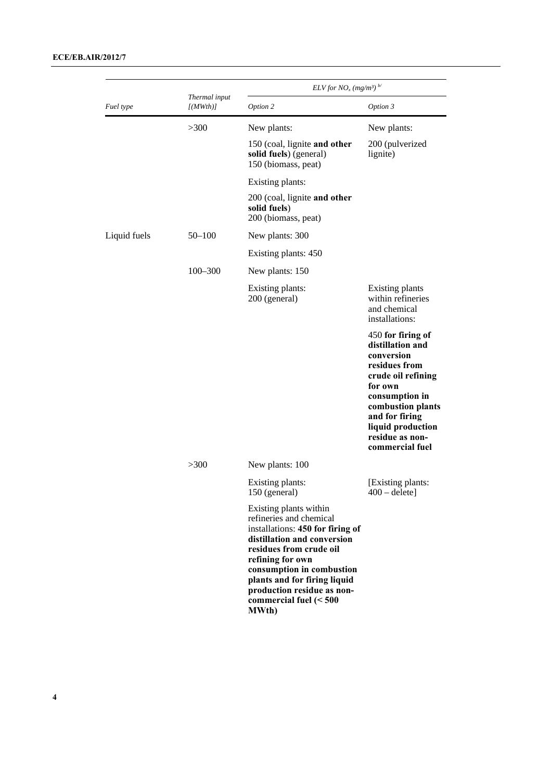|              | Thermal input<br>[(MWh)]          | $ELV for NOx (mg/m3)b/$                                                                                                                                                                                                                                                                                     |                                                                                                                                                                                                                           |  |
|--------------|-----------------------------------|-------------------------------------------------------------------------------------------------------------------------------------------------------------------------------------------------------------------------------------------------------------------------------------------------------------|---------------------------------------------------------------------------------------------------------------------------------------------------------------------------------------------------------------------------|--|
| Fuel type    |                                   | Option 2                                                                                                                                                                                                                                                                                                    | Option 3                                                                                                                                                                                                                  |  |
|              | >300                              | New plants:                                                                                                                                                                                                                                                                                                 | New plants:                                                                                                                                                                                                               |  |
|              |                                   | 150 (coal, lignite and other<br>solid fuels) (general)<br>150 (biomass, peat)                                                                                                                                                                                                                               | 200 (pulverized<br>lignite)                                                                                                                                                                                               |  |
|              |                                   | Existing plants:                                                                                                                                                                                                                                                                                            |                                                                                                                                                                                                                           |  |
|              |                                   | 200 (coal, lignite and other<br>solid fuels)<br>200 (biomass, peat)                                                                                                                                                                                                                                         |                                                                                                                                                                                                                           |  |
| Liquid fuels | $50 - 100$                        | New plants: 300                                                                                                                                                                                                                                                                                             |                                                                                                                                                                                                                           |  |
|              |                                   | Existing plants: 450                                                                                                                                                                                                                                                                                        |                                                                                                                                                                                                                           |  |
|              | $100 - 300$                       | New plants: 150                                                                                                                                                                                                                                                                                             |                                                                                                                                                                                                                           |  |
|              | Existing plants:<br>200 (general) | <b>Existing plants</b><br>within refineries<br>and chemical<br>installations:                                                                                                                                                                                                                               |                                                                                                                                                                                                                           |  |
|              |                                   |                                                                                                                                                                                                                                                                                                             | 450 for firing of<br>distillation and<br>conversion<br>residues from<br>crude oil refining<br>for own<br>consumption in<br>combustion plants<br>and for firing<br>liquid production<br>residue as non-<br>commercial fuel |  |
|              | >300                              | New plants: 100                                                                                                                                                                                                                                                                                             |                                                                                                                                                                                                                           |  |
|              |                                   | Existing plants:<br>150 (general)                                                                                                                                                                                                                                                                           | [Existing plants:<br>$400 -$ delete]                                                                                                                                                                                      |  |
|              |                                   | Existing plants within<br>refineries and chemical<br>installations: 450 for firing of<br>distillation and conversion<br>residues from crude oil<br>refining for own<br>consumption in combustion<br>plants and for firing liquid<br>production residue as non-<br>commercial fuel $(< 500$<br><b>MWth</b> ) |                                                                                                                                                                                                                           |  |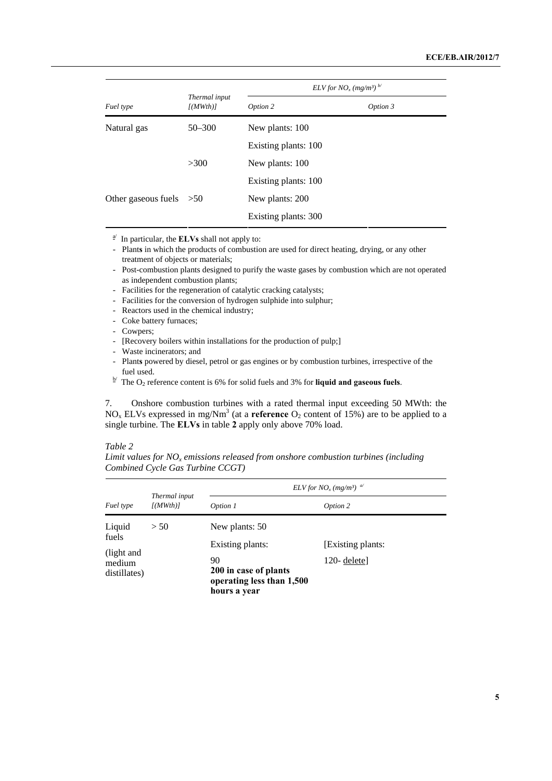|                           | Thermal input<br>[(MWth)] | $ELV for NOx (mg/m3)b/$ |          |
|---------------------------|---------------------------|-------------------------|----------|
| Fuel type                 |                           | Option 2                | Option 3 |
| Natural gas               | $50 - 300$                | New plants: 100         |          |
|                           |                           | Existing plants: 100    |          |
|                           | >300                      | New plants: 100         |          |
|                           |                           | Existing plants: 100    |          |
| Other gaseous fuels $>50$ |                           | New plants: 200         |          |
|                           |                           | Existing plants: 300    |          |

 $\frac{a}{a}$  In particular, the **ELVs** shall not apply to:

 - Plant**s** in which the products of combustion are used for direct heating, drying, or any other treatment of objects or materials;

- Post-combustion plants designed to purify the waste gases by combustion which are not operated as independent combustion plants;
- Facilities for the regeneration of catalytic cracking catalysts;
- Facilities for the conversion of hydrogen sulphide into sulphur;
- Reactors used in the chemical industry;
- Coke battery furnaces;
- Cowpers;
- [Recovery boilers within installations for the production of pulp;]
- Waste incinerators; and
- Plant**s** powered by diesel, petrol or gas engines or by combustion turbines, irrespective of the fuel used.<br><sup>b/</sup> The O<sub>2</sub> reference content is 6% for solid fuels and 3% for **liquid and gaseous fuels**.
- 

7. Onshore combustion turbines with a rated thermal input exceeding 50 MWth: the NO<sub>x</sub> ELVs expressed in mg/Nm<sup>3</sup> (at a **reference** O<sub>2</sub> content of 15%) are to be applied to a single turbine. The **ELVs** in table **2** apply only above 70% load.

#### *Table 2*

Limit values for NO<sub>x</sub> emissions released from onshore combustion turbines (including *Combined Cycle Gas Turbine CCGT)*

|                                      |                           | ELV for NO <sub>x</sub> (mg/m <sup>3</sup> ) <sup>a/</sup>               |                   |
|--------------------------------------|---------------------------|--------------------------------------------------------------------------|-------------------|
| Fuel type                            | Thermal input<br>[(MWth)] | Option 1                                                                 | Option 2          |
| Liquid                               | > 50                      | New plants: 50                                                           |                   |
| fuels                                |                           | Existing plants:                                                         | [Existing plants: |
| (light and<br>medium<br>distillates) |                           | 90<br>200 in case of plants<br>operating less than 1,500<br>hours a year | $120$ - deletel   |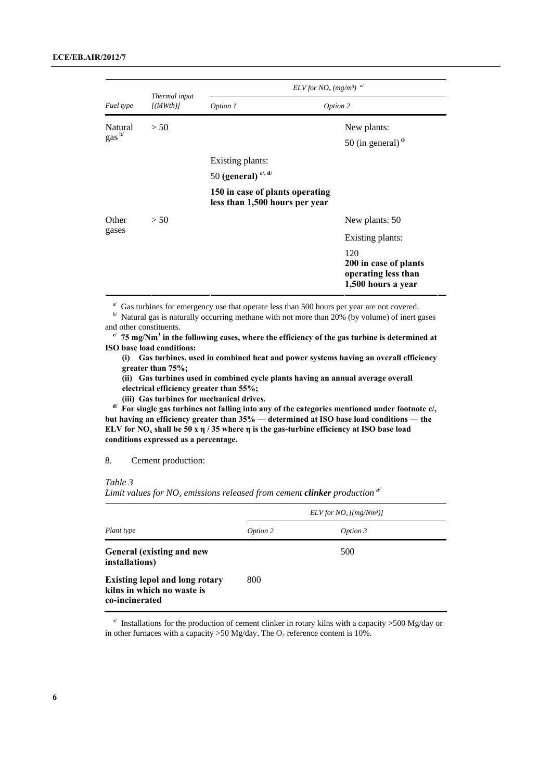|                              | Thermal input<br>J(MWth)<br>> 50 | ELV for $NO_x$ (mg/m <sup>3</sup> ) <sup>a/</sup>                 |                                                                           |
|------------------------------|----------------------------------|-------------------------------------------------------------------|---------------------------------------------------------------------------|
| Fuel type                    |                                  | Option 1                                                          | Option 2                                                                  |
| Natural<br>gas <sup>b/</sup> |                                  |                                                                   | New plants:<br>50 (in general) $d$                                        |
|                              |                                  | Existing plants:                                                  |                                                                           |
|                              |                                  | 50 (general) $ci$ , d/                                            |                                                                           |
|                              |                                  | 150 in case of plants operating<br>less than 1,500 hours per year |                                                                           |
| Other                        | > 50                             |                                                                   | New plants: 50                                                            |
| gases                        |                                  |                                                                   | Existing plants:                                                          |
|                              |                                  |                                                                   | 120<br>200 in case of plants<br>operating less than<br>1,500 hours a year |

<sup>a/</sup> Gas turbines for emergency use that operate less than 500 hours per year are not covered. b/ Natural gas is naturally occurring methane with not more than 20% (by volume) of inert gases and other constituents.

 $\alpha$ <sup>c/</sup> 75 mg/Nm<sup>3</sup> in the following cases, where the efficiency of the gas turbine is determined at **ISO base load conditions:** 

 **(i) Gas turbines, used in combined heat and power systems having an overall efficiency greater than 75%;** 

 **(ii) Gas turbines used in combined cycle plants having an annual average overall** 

**electrical efficiency greater than 55%;** 

**(iii) Gas turbines for mechanical drives. d/** For single gas turbines not falling into any of the categories mentioned under footnote c/, **but having an efficiency greater than 35% — determined at ISO base load conditions — the ELV for NOx shall be 50 x η / 35 where η is the gas-turbine efficiency at ISO base load conditions expressed as a percentage.** 

#### 8. Cement production:

*Table 3* 

Limit values for NO<sub>x</sub> emissions released from cement *clinker* production<sup> $\mathbf{a}^{\prime}$ </sup>

|                                                                                       | $ELV$ for $NOx$ [(mg/Nm <sup>3</sup> )] |          |  |
|---------------------------------------------------------------------------------------|-----------------------------------------|----------|--|
| Plant type                                                                            | Option 2                                | Option 3 |  |
| General (existing and new<br>installations)                                           |                                         | 500      |  |
| <b>Existing lepol and long rotary</b><br>kilns in which no waste is<br>co-incinerated | 800                                     |          |  |

<sup>a</sup> Installations for the production of cement clinker in rotary kilns with a capacity >500 Mg/day or in other furnaces with a capacity  $>50$  Mg/day. The  $O_2$  reference content is 10%.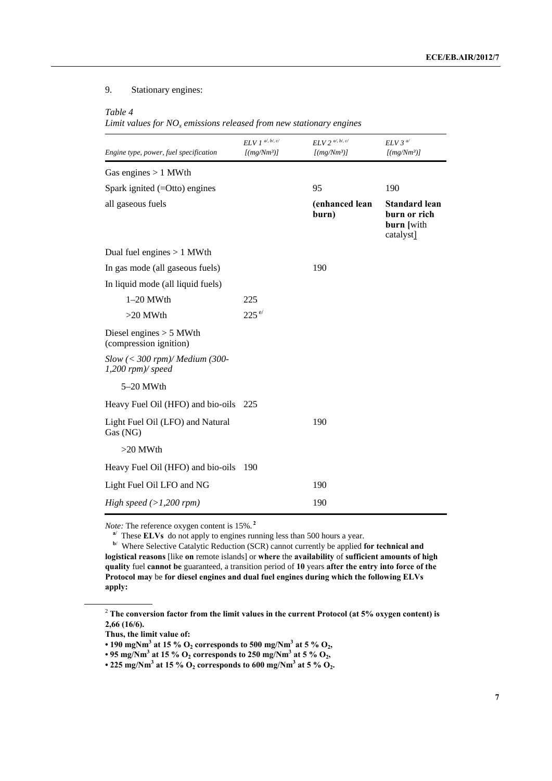# 9. Stationary engines:

#### *Table 4*

*Limit values for NOx emissions released from new stationary engines* 

| Engine type, power, fuel specification               | $ELV1$ al, bl, c/<br>[(mg/Nm <sup>3</sup> )] | $ELV$ 2 <sup>a/, b/, c/</sup><br>[(mg/Nm <sup>3</sup> )] | $ELV$ 3 <sup>a/</sup><br>[(mg/Nm <sup>3</sup> )]                |
|------------------------------------------------------|----------------------------------------------|----------------------------------------------------------|-----------------------------------------------------------------|
| Gas engines $> 1$ MWth                               |                                              |                                                          |                                                                 |
| Spark ignited $(=Otto)$ engines                      |                                              | 95                                                       | 190                                                             |
| all gaseous fuels                                    |                                              | (enhanced lean<br>burn)                                  | <b>Standard lean</b><br>burn or rich<br>burn [with<br>catalyst] |
| Dual fuel engines $> 1$ MWth                         |                                              |                                                          |                                                                 |
| In gas mode (all gaseous fuels)                      |                                              | 190                                                      |                                                                 |
| In liquid mode (all liquid fuels)                    |                                              |                                                          |                                                                 |
| $1-20$ MWth                                          | 225                                          |                                                          |                                                                 |
| $>20$ MWth                                           | $225^{e/}$                                   |                                                          |                                                                 |
| Diesel engines $> 5$ MWth<br>(compression ignition)  |                                              |                                                          |                                                                 |
| $Slow \ (300 \; rpm)/ Medium (300-1,200 rpm)/ speed$ |                                              |                                                          |                                                                 |
| 5-20 MWth                                            |                                              |                                                          |                                                                 |
| Heavy Fuel Oil (HFO) and bio-oils 225                |                                              |                                                          |                                                                 |
| Light Fuel Oil (LFO) and Natural<br>Gas (NG)         |                                              | 190                                                      |                                                                 |
| $>20$ MWth                                           |                                              |                                                          |                                                                 |
| Heavy Fuel Oil (HFO) and bio-oils                    | - 190                                        |                                                          |                                                                 |
| Light Fuel Oil LFO and NG                            |                                              | 190                                                      |                                                                 |
| High speed $(>1,200$ rpm)                            |                                              | 190                                                      |                                                                 |

*Note:* The reference oxygen content is 15%. **<sup>2</sup>**

<sup>a</sup>/ These **ELVs** do not apply to engines running less than 500 hours a year.

**b**/ Where Selective Catalytic Reduction (SCR) cannot currently be applied **for technical and logistical reasons** [like **on** remote islands] or **where** the **availability** of **sufficient amounts of high quality** fuel **cannot be** guaranteed, a transition period of **10** years **after the entry into force of the Protocol may** be **for diesel engines and dual fuel engines during which the following ELVs apply:** 

<sup>&</sup>lt;sup>2</sup> The conversion factor from the limit values in the current Protocol (at 5% oxygen content) is **2,66 (16/6).** 

**Thus, the limit value of:** 

<sup>• 190</sup> mgNm<sup>3</sup> at 15 %  $O_2$  corresponds to 500 mg/Nm<sup>3</sup> at 5 %  $O_2$ ,

 $\cdot$  95 mg/Nm<sup>3</sup> at 15 % O<sub>2</sub> corresponds to 250 mg/Nm<sup>3</sup> at 5 % O<sub>2</sub>,

<sup>• 225</sup> mg/Nm<sup>3</sup> at 15 %  $O_2$  corresponds to 600 mg/Nm<sup>3</sup> at 5 %  $O_2$ .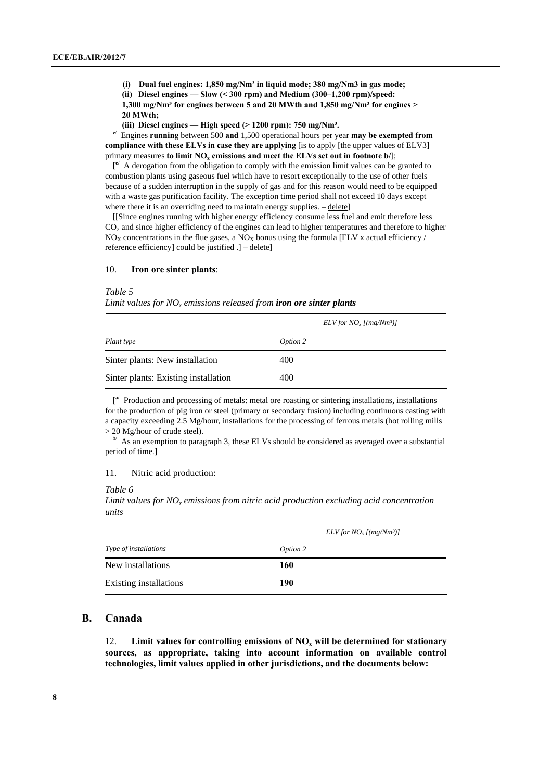**(i) Dual fuel engines: 1,850 mg/Nm³ in liquid mode; 380 mg/Nm3 in gas mode;** 

 **(ii) Diesel engines — Slow (< 300 rpm) and Medium (300–1,200 rpm)/speed:** 

**1,300 mg/Nm³ for engines between 5 and 20 MWth and 1,850 mg/Nm³ for engines > 20 MWth;** 

 **(iii) Diesel engines — High speed (> 1200 rpm): 750 mg/Nm³.** 

**c**/ Engines **running** between 500 **and** 1,500 operational hours per year **may be exempted from compliance with these ELVs in case they are applying** [is to apply [the upper values of ELV3] primary measures **to limit NO<sub>x</sub> emissions and meet the ELVs set out in footnote b/**];

 $[$ <sup>e</sup>/ A derogation from the obligation to comply with the emission limit values can be granted to combustion plants using gaseous fuel which have to resort exceptionally to the use of other fuels because of a sudden interruption in the supply of gas and for this reason would need to be equipped with a waste gas purification facility. The exception time period shall not exceed 10 days except where there it is an overriding need to maintain energy supplies.  $-\text{delete}$ 

[[Since engines running with higher energy efficiency consume less fuel and emit therefore less  $CO<sub>2</sub>$  and since higher efficiency of the engines can lead to higher temperatures and therefore to higher  $NO<sub>x</sub>$  concentrations in the flue gases, a  $NO<sub>x</sub>$  bonus using the formula [ELV x actual efficiency / reference efficiency] could be justified .] – delete]

#### 10. **Iron ore sinter plants**:

#### *Table 5*

*Limit values for NOx emissions released from iron ore sinter plants*

|                                      | $ELV$ for $NOx$ [(mg/Nm <sup>3</sup> )] |  |  |
|--------------------------------------|-----------------------------------------|--|--|
| Plant type                           | Option 2                                |  |  |
| Sinter plants: New installation      | 400                                     |  |  |
| Sinter plants: Existing installation | 400                                     |  |  |

 $\int_0^{\alpha}$  Production and processing of metals: metal ore roasting or sintering installations, installations for the production of pig iron or steel (primary or secondary fusion) including continuous casting with a capacity exceeding 2.5 Mg/hour, installations for the processing of ferrous metals (hot rolling mills  $>$  20 Mg/hour of crude steel). b/ As an exemption to paragraph 3, these ELVs should be considered as averaged over a substantial

period of time.]

#### 11. Nitric acid production:

#### *Table 6*

*Limit values for NO<sub>x</sub> emissions from nitric acid production excluding acid concentration units* 

|                        | $ELV$ for $NOx$ [(mg/Nm <sup>3</sup> )] |
|------------------------|-----------------------------------------|
| Type of installations  | Option 2                                |
| New installations      | 160                                     |
| Existing installations | 190                                     |

# **B. Canada**

12. **Limit values for controlling emissions of NO<sub>x</sub> will be determined for stationary sources, as appropriate, taking into account information on available control technologies, limit values applied in other jurisdictions, and the documents below:**